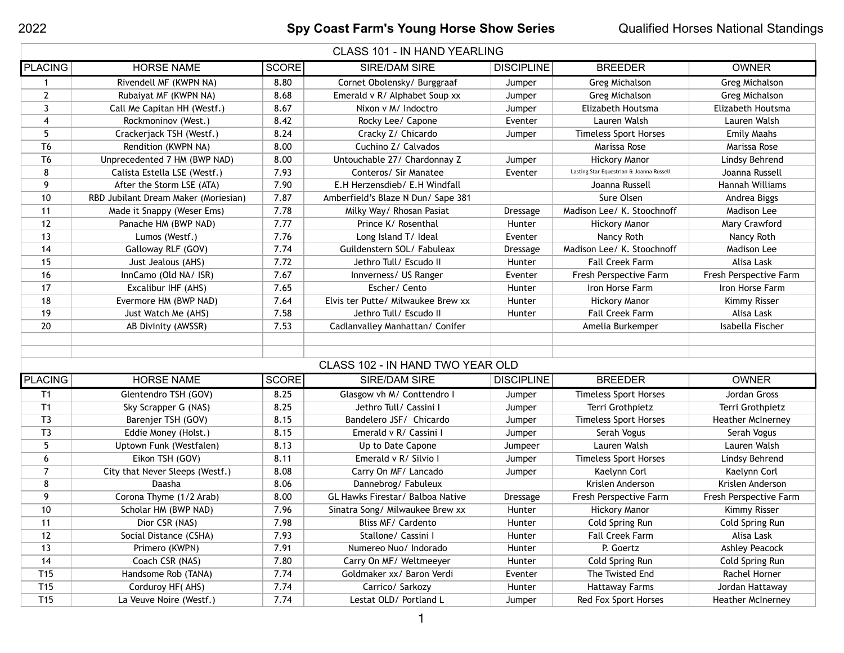| <b>CLASS 101 - IN HAND YEARLING</b> |                                      |              |                                         |                   |                                          |                          |  |  |  |
|-------------------------------------|--------------------------------------|--------------|-----------------------------------------|-------------------|------------------------------------------|--------------------------|--|--|--|
| <b>PLACING</b>                      | <b>HORSE NAME</b>                    | <b>SCORE</b> | SIRE/DAM SIRE                           | <b>DISCIPLINE</b> | <b>BREEDER</b>                           | <b>OWNER</b>             |  |  |  |
| 1                                   | Rivendell MF (KWPN NA)               | 8.80         | Cornet Obolensky/ Burggraaf             | Jumper            | <b>Greg Michalson</b>                    | <b>Greg Michalson</b>    |  |  |  |
| $\overline{2}$                      | Rubaiyat MF (KWPN NA)                | 8.68         | Emerald v R/ Alphabet Soup xx           | Jumper            | <b>Greg Michalson</b>                    | <b>Greg Michalson</b>    |  |  |  |
| 3                                   | Call Me Capitan HH (Westf.)          | 8.67         | Nixon v M/ Indoctro                     | Jumper            | Elizabeth Houtsma                        | Elizabeth Houtsma        |  |  |  |
| 4                                   | Rockmoninov (West.)                  | 8.42         | Rocky Lee/ Capone                       | Eventer           | Lauren Walsh                             | Lauren Walsh             |  |  |  |
| 5                                   | Crackerjack TSH (Westf.)             | 8.24         | Cracky Z/ Chicardo                      | Jumper            | <b>Timeless Sport Horses</b>             | <b>Emily Maahs</b>       |  |  |  |
| T <sub>6</sub>                      | Rendition (KWPN NA)                  | 8.00         | Cuchino Z/ Calvados                     |                   | Marissa Rose                             | Marissa Rose             |  |  |  |
| T <sub>6</sub>                      | Unprecedented 7 HM (BWP NAD)         | 8.00         | Untouchable 27/ Chardonnay Z            | Jumper            | <b>Hickory Manor</b>                     | Lindsy Behrend           |  |  |  |
| 8                                   | Calista Estella LSE (Westf.)         | 7.93         | Conteros/ Sir Manatee                   | Eventer           | Lasting Star Equestrian & Joanna Russell | Joanna Russell           |  |  |  |
| 9                                   | After the Storm LSE (ATA)            | 7.90         | E.H Herzensdieb/ E.H Windfall           |                   | Joanna Russell                           | Hannah Williams          |  |  |  |
| 10                                  | RBD Jubilant Dream Maker (Moriesian) | 7.87         | Amberfield's Blaze N Dun/ Sape 381      |                   | Sure Olsen                               | Andrea Biggs             |  |  |  |
| 11                                  | Made it Snappy (Weser Ems)           | 7.78         | Milky Way/ Rhosan Pasiat                | Dressage          | Madison Lee/ K. Stoochnoff               | Madison Lee              |  |  |  |
| 12                                  | Panache HM (BWP NAD)                 | 7.77         | Prince K/ Rosenthal                     | Hunter            | <b>Hickory Manor</b>                     | Mary Crawford            |  |  |  |
| 13                                  | Lumos (Westf.)                       | 7.76         | Long Island T/ Ideal                    | Eventer           | Nancy Roth                               | Nancy Roth               |  |  |  |
| 14                                  | Galloway RLF (GOV)                   | 7.74         | Guildenstern SOL/ Fabuleax              | <b>Dressage</b>   | Madison Lee/ K. Stoochnoff               | Madison Lee              |  |  |  |
| 15                                  | Just Jealous (AHS)                   | 7.72         | Jethro Tull/ Escudo II                  | Hunter            | <b>Fall Creek Farm</b>                   | Alisa Lask               |  |  |  |
| 16                                  | InnCamo (Old NA/ ISR)                | 7.67         | Innverness/ US Ranger                   | Eventer           | Fresh Perspective Farm                   | Fresh Perspective Farm   |  |  |  |
| 17                                  | Excalibur IHF (AHS)                  | 7.65         | Escher/ Cento                           | Hunter            | Iron Horse Farm                          | Iron Horse Farm          |  |  |  |
| 18                                  | Evermore HM (BWP NAD)                | 7.64         | Elvis ter Putte/ Milwaukee Brew xx      | Hunter            | <b>Hickory Manor</b>                     | <b>Kimmy Risser</b>      |  |  |  |
| 19                                  | Just Watch Me (AHS)                  | 7.58         | Jethro Tull/ Escudo II                  | Hunter            | <b>Fall Creek Farm</b>                   | Alisa Lask               |  |  |  |
| 20                                  | AB Divinity (AWSSR)                  | 7.53         | Cadlanvalley Manhattan/ Conifer         |                   | Amelia Burkemper                         | Isabella Fischer         |  |  |  |
|                                     |                                      |              |                                         |                   |                                          |                          |  |  |  |
|                                     |                                      |              |                                         |                   |                                          |                          |  |  |  |
|                                     |                                      |              | CLASS 102 - IN HAND TWO YEAR OLD        |                   |                                          |                          |  |  |  |
| <b>PLACING</b>                      | <b>HORSE NAME</b>                    | <b>SCORE</b> | <b>SIRE/DAM SIRE</b>                    | <b>DISCIPLINE</b> | <b>BREEDER</b>                           | <b>OWNER</b>             |  |  |  |
| T1                                  | Glentendro TSH (GOV)                 | 8.25         | Glasgow vh M/ Conttendro I              | Jumper            | <b>Timeless Sport Horses</b>             | Jordan Gross             |  |  |  |
| T1                                  | Sky Scrapper G (NAS)                 | 8.25         | Jethro Tull/ Cassini I                  | Jumper            | Terri Grothpietz                         | Terri Grothpietz         |  |  |  |
| T3                                  | Barenjer TSH (GOV)                   | 8.15         | Bandelero JSF/ Chicardo                 | Jumper            | <b>Timeless Sport Horses</b>             | <b>Heather McInerney</b> |  |  |  |
| T3                                  | Eddie Money (Holst.)                 | 8.15         | Emerald v R/ Cassini I                  | Jumper            | Serah Vogus                              | Serah Vogus              |  |  |  |
| 5                                   | Uptown Funk (Westfalen)              | 8.13         | Up to Date Capone                       | Jumpeer           | Lauren Walsh                             | Lauren Walsh             |  |  |  |
| O                                   | Eikon TSH (GOV)                      | 8.11         | Emerald v R/ Silvio I                   | Jumper            | <b>Timeless Sport Horses</b>             | Lindsy Behrend           |  |  |  |
| $\overline{7}$                      | City that Never Sleeps (Westf.)      | 8.08         | Carry On MF/ Lancado                    | Jumper            | Kaelynn Corl                             | Kaelynn Corl             |  |  |  |
| 8                                   | Daasha                               | 8.06         | Dannebrog/Fabuleux                      |                   | Krislen Anderson                         | Krislen Anderson         |  |  |  |
| 9                                   | Corona Thyme (1/2 Arab)              | 8.00         | <b>GL Hawks Firestar/ Balboa Native</b> | <b>Dressage</b>   | Fresh Perspective Farm                   | Fresh Perspective Farm   |  |  |  |
| 10                                  | Scholar HM (BWP NAD)                 | 7.96         | Sinatra Song/ Milwaukee Brew xx         | Hunter            | <b>Hickory Manor</b>                     | Kimmy Risser             |  |  |  |
| 11                                  | Dior CSR (NAS)                       | 7.98         | Bliss MF/ Cardento                      | Hunter            | Cold Spring Run                          | Cold Spring Run          |  |  |  |
| 12                                  | Social Distance (CSHA)               | 7.93         | Stallone/ Cassini I                     | Hunter            | <b>Fall Creek Farm</b>                   | Alisa Lask               |  |  |  |
| 13                                  | Primero (KWPN)                       | 7.91         | Numereo Nuo/ Indorado                   | Hunter            | P. Goertz                                | <b>Ashley Peacock</b>    |  |  |  |
| 14                                  | Coach CSR (NAS)                      | 7.80         | Carry On MF/ Weltmeeyer                 | Hunter            | Cold Spring Run                          | Cold Spring Run          |  |  |  |
| T <sub>15</sub>                     | Handsome Rob (TANA)                  | 7.74         | Goldmaker xx/ Baron Verdi               | Eventer           | The Twisted End                          | Rachel Horner            |  |  |  |
| T15                                 | Corduroy HF(AHS)                     | 7.74         | Carrico/ Sarkozy                        | Hunter            | <b>Hattaway Farms</b>                    | Jordan Hattaway          |  |  |  |
| T <sub>15</sub>                     | La Veuve Noire (Westf.)              | 7.74         | Lestat OLD/ Portland L                  | Jumper            | Red Fox Sport Horses                     | Heather McInerney        |  |  |  |